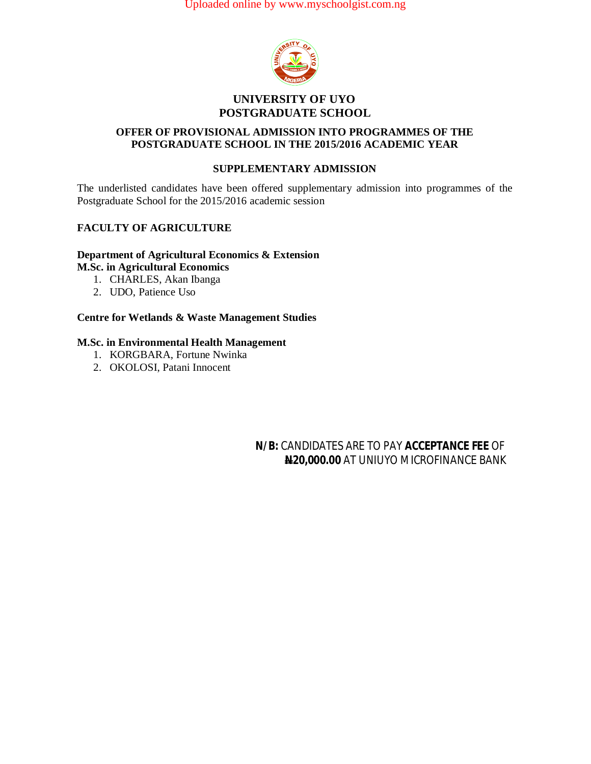Uploaded online by www.myschoolgist.com.ng



#### **UNIVERSITY OF UYO POSTGRADUATE SCHOOL**

## **OFFER OF PROVISIONAL ADMISSION INTO PROGRAMMES OF THE POSTGRADUATE SCHOOL IN THE 2015/2016 ACADEMIC YEAR**

## **SUPPLEMENTARY ADMISSION**

The underlisted candidates have been offered supplementary admission into programmes of the Postgraduate School for the 2015/2016 academic session

## **FACULTY OF AGRICULTURE**

#### **Department of Agricultural Economics & Extension M.Sc. in Agricultural Economics**

- 
- 1. CHARLES, Akan Ibanga
- 2. UDO, Patience Uso

## **Centre for Wetlands & Waste Management Studies**

#### **M.Sc. in Environmental Health Management**

- 1. KORGBARA, Fortune Nwinka
- 2. OKOLOSI, Patani Innocent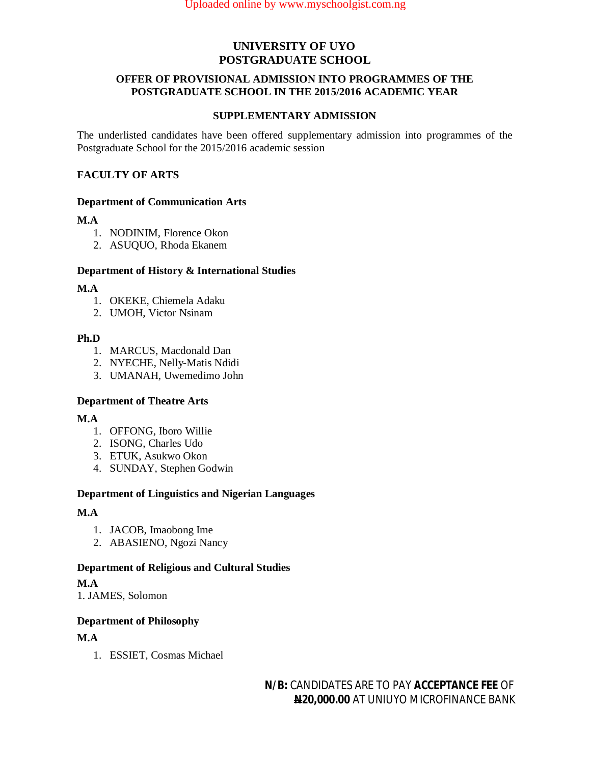#### **OFFER OF PROVISIONAL ADMISSION INTO PROGRAMMES OF THE POSTGRADUATE SCHOOL IN THE 2015/2016 ACADEMIC YEAR**

#### **SUPPLEMENTARY ADMISSION**

The underlisted candidates have been offered supplementary admission into programmes of the Postgraduate School for the 2015/2016 academic session

## **FACULTY OF ARTS**

#### **Department of Communication Arts**

## **M.A**

- 1. NODINIM, Florence Okon
- 2. ASUQUO, Rhoda Ekanem

## **Department of History & International Studies**

## **M.A**

- 1. OKEKE, Chiemela Adaku
- 2. UMOH, Victor Nsinam

## **Ph.D**

- 1. MARCUS, Macdonald Dan
- 2. NYECHE, Nelly-Matis Ndidi
- 3. UMANAH, Uwemedimo John

## **Department of Theatre Arts**

## **M.A**

- 1. OFFONG, Iboro Willie
- 2. ISONG, Charles Udo
- 3. ETUK, Asukwo Okon
- 4. SUNDAY, Stephen Godwin

## **Department of Linguistics and Nigerian Languages**

## **M.A**

- 1. JACOB, Imaobong Ime
- 2. ABASIENO, Ngozi Nancy

## **Department of Religious and Cultural Studies**

## **M.A**

1. JAMES, Solomon

## **Department of Philosophy**

## **M.A**

1. ESSIET, Cosmas Michael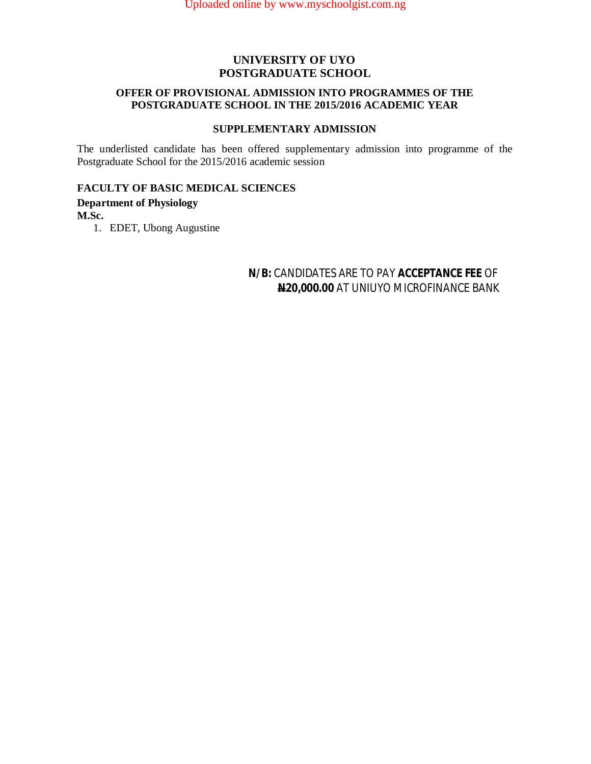#### **OFFER OF PROVISIONAL ADMISSION INTO PROGRAMMES OF THE POSTGRADUATE SCHOOL IN THE 2015/2016 ACADEMIC YEAR**

#### **SUPPLEMENTARY ADMISSION**

The underlisted candidate has been offered supplementary admission into programme of the Postgraduate School for the 2015/2016 academic session

## **FACULTY OF BASIC MEDICAL SCIENCES**

## **Department of Physiology**

**M.Sc.**

1. EDET, Ubong Augustine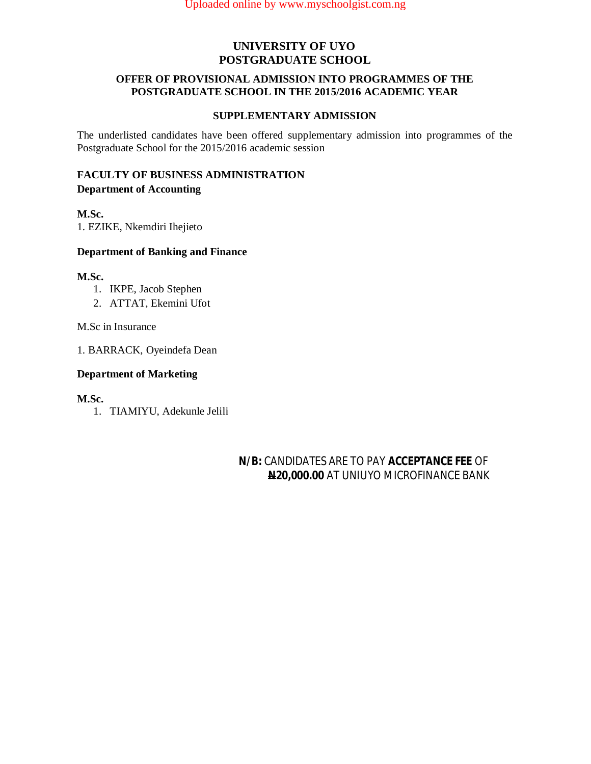#### **OFFER OF PROVISIONAL ADMISSION INTO PROGRAMMES OF THE POSTGRADUATE SCHOOL IN THE 2015/2016 ACADEMIC YEAR**

#### **SUPPLEMENTARY ADMISSION**

The underlisted candidates have been offered supplementary admission into programmes of the Postgraduate School for the 2015/2016 academic session

## **FACULTY OF BUSINESS ADMINISTRATION Department of Accounting**

#### **M.Sc.**

1. EZIKE, Nkemdiri Ihejieto

#### **Department of Banking and Finance**

#### **M.Sc.**

- 1. IKPE, Jacob Stephen
- 2. ATTAT, Ekemini Ufot

M.Sc in Insurance

1. BARRACK, Oyeindefa Dean

#### **Department of Marketing**

**M.Sc.**

1. TIAMIYU, Adekunle Jelili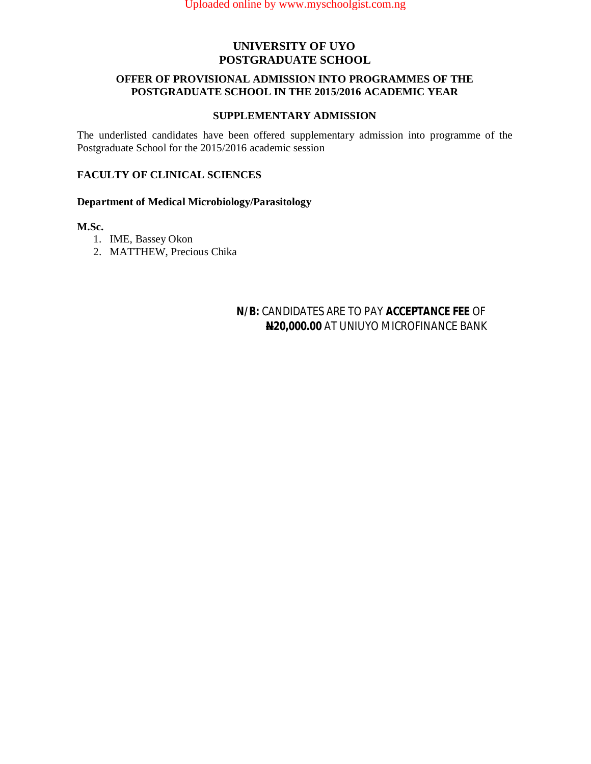#### **OFFER OF PROVISIONAL ADMISSION INTO PROGRAMMES OF THE POSTGRADUATE SCHOOL IN THE 2015/2016 ACADEMIC YEAR**

#### **SUPPLEMENTARY ADMISSION**

The underlisted candidates have been offered supplementary admission into programme of the Postgraduate School for the 2015/2016 academic session

## **FACULTY OF CLINICAL SCIENCES**

#### **Department of Medical Microbiology/Parasitology**

#### **M.Sc.**

- 1. IME, Bassey Okon
- 2. MATTHEW, Precious Chika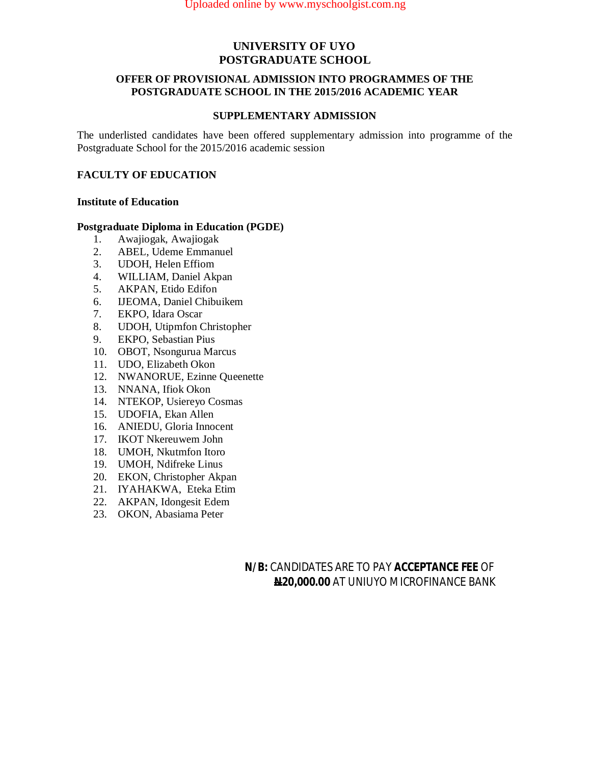#### **OFFER OF PROVISIONAL ADMISSION INTO PROGRAMMES OF THE POSTGRADUATE SCHOOL IN THE 2015/2016 ACADEMIC YEAR**

#### **SUPPLEMENTARY ADMISSION**

The underlisted candidates have been offered supplementary admission into programme of the Postgraduate School for the 2015/2016 academic session

## **FACULTY OF EDUCATION**

#### **Institute of Education**

# **Postgraduate Diploma in Education (PGDE)**<br>1. Awajiogak, Awajiogak

- 1. Awajiogak, Awajiogak
- 2. ABEL, Udeme Emmanuel
- 3. UDOH, Helen Effiom
- 4. WILLIAM, Daniel Akpan<br>5. AKPAN, Etido Edifon
- 5. AKPAN, Etido Edifon
- 6. IJEOMA, Daniel Chibuikem
- 7. EKPO, Idara Oscar
- 8. UDOH, Utipmfon Christopher
- 9. EKPO, Sebastian Pius
- 10. OBOT, Nsongurua Marcus
- 11. UDO, Elizabeth Okon
- 12. NWANORUE, Ezinne Queenette
- 13. NNANA, Ifiok Okon
- 14. NTEKOP, Usiereyo Cosmas
- 15. UDOFIA, Ekan Allen
- 16. ANIEDU, Gloria Innocent
- 17. IKOT Nkereuwem John
- 18. UMOH, Nkutmfon Itoro
- 19. UMOH, Ndifreke Linus
- 20. EKON, Christopher Akpan
- 21. IYAHAKWA, Eteka Etim
- 22. AKPAN, Idongesit Edem
- 23. OKON, Abasiama Peter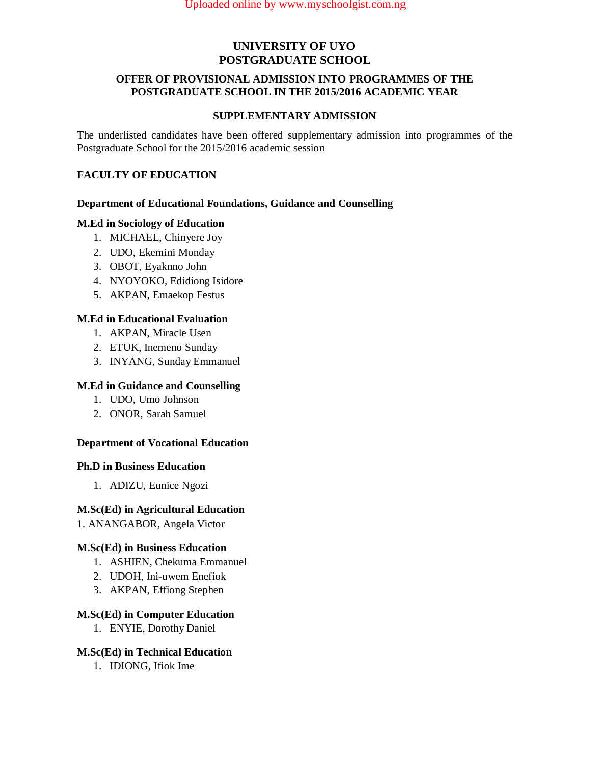#### **OFFER OF PROVISIONAL ADMISSION INTO PROGRAMMES OF THE POSTGRADUATE SCHOOL IN THE 2015/2016 ACADEMIC YEAR**

#### **SUPPLEMENTARY ADMISSION**

The underlisted candidates have been offered supplementary admission into programmes of the Postgraduate School for the 2015/2016 academic session

## **FACULTY OF EDUCATION**

#### **Department of Educational Foundations, Guidance and Counselling**

#### **M.Ed in Sociology of Education**

- 1. MICHAEL, Chinyere Joy
- 2. UDO, Ekemini Monday
- 3. OBOT, Eyaknno John
- 4. NYOYOKO, Edidiong Isidore
- 5. AKPAN, Emaekop Festus

#### **M.Ed in Educational Evaluation**

- 1. AKPAN, Miracle Usen
- 2. ETUK, Inemeno Sunday
- 3. INYANG, Sunday Emmanuel

#### **M.Ed in Guidance and Counselling**

- 1. UDO, Umo Johnson
- 2. ONOR, Sarah Samuel

#### **Department of Vocational Education**

#### **Ph.D in Business Education**

1. ADIZU, Eunice Ngozi

#### **M.Sc(Ed) in Agricultural Education**

1. ANANGABOR, Angela Victor

#### **M.Sc(Ed) in Business Education**

- 1. ASHIEN, Chekuma Emmanuel
- 2. UDOH, Ini-uwem Enefiok
- 3. AKPAN, Effiong Stephen

#### **M.Sc(Ed) in Computer Education**

1. ENYIE, Dorothy Daniel

#### **M.Sc(Ed) in Technical Education**

1. IDIONG, Ifiok Ime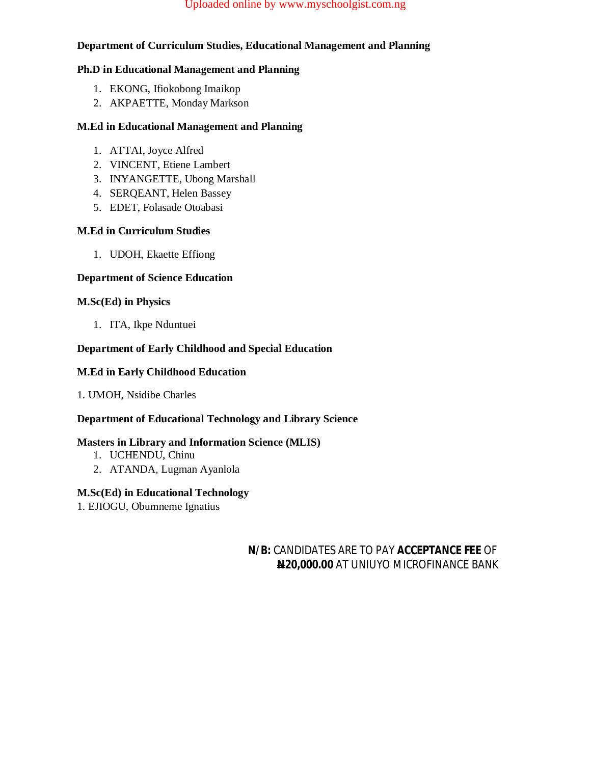#### Uploaded online by www.myschoolgist.com.ng

## **Department of Curriculum Studies, Educational Management and Planning**

#### **Ph.D in Educational Management and Planning**

- 1. EKONG, Ifiokobong Imaikop
- 2. AKPAETTE, Monday Markson

#### **M.Ed in Educational Management and Planning**

- 1. ATTAI, Joyce Alfred
- 2. VINCENT, Etiene Lambert
- 3. INYANGETTE, Ubong Marshall
- 4. SERQEANT, Helen Bassey
- 5. EDET, Folasade Otoabasi

#### **M.Ed in Curriculum Studies**

1. UDOH, Ekaette Effiong

#### **Department of Science Education**

#### **M.Sc(Ed) in Physics**

1. ITA, Ikpe Nduntuei

#### **Department of Early Childhood and Special Education**

#### **M.Ed in Early Childhood Education**

## 1. UMOH, Nsidibe Charles

## **Department of Educational Technology and Library Science**

## **Masters in Library and Information Science (MLIS)**

- 1. UCHENDU, Chinu
- 2. ATANDA, Lugman Ayanlola

#### **M.Sc(Ed) in Educational Technology**

1. EJIOGU, Obumneme Ignatius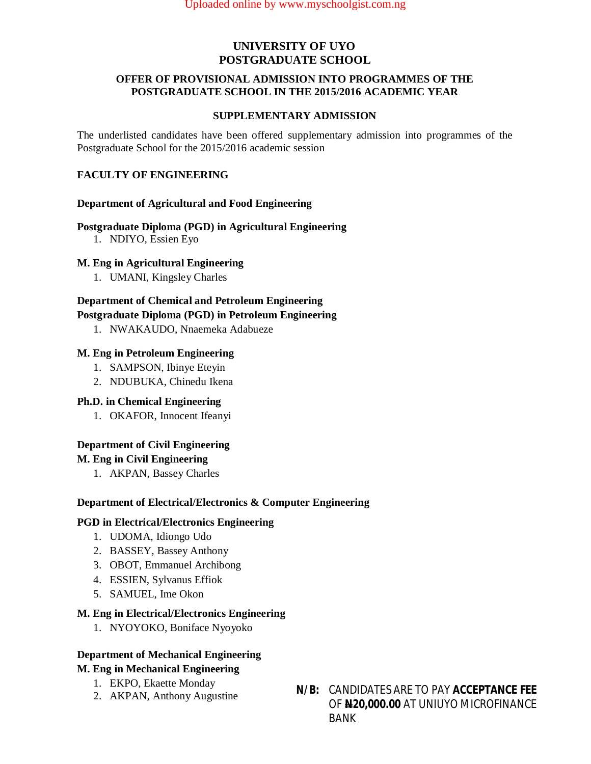#### **OFFER OF PROVISIONAL ADMISSION INTO PROGRAMMES OF THE POSTGRADUATE SCHOOL IN THE 2015/2016 ACADEMIC YEAR**

#### **SUPPLEMENTARY ADMISSION**

The underlisted candidates have been offered supplementary admission into programmes of the Postgraduate School for the 2015/2016 academic session

## **FACULTY OF ENGINEERING**

#### **Department of Agricultural and Food Engineering**

#### **Postgraduate Diploma (PGD) in Agricultural Engineering**

1. NDIYO, Essien Eyo

#### **M. Eng in Agricultural Engineering**

1. UMANI, Kingsley Charles

## **Department of Chemical and Petroleum Engineering**

#### **Postgraduate Diploma (PGD) in Petroleum Engineering**

1. NWAKAUDO, Nnaemeka Adabueze

#### **M. Eng in Petroleum Engineering**

- 1. SAMPSON, Ibinye Eteyin
- 2. NDUBUKA, Chinedu Ikena

#### **Ph.D. in Chemical Engineering**

1. OKAFOR, Innocent Ifeanyi

## **Department of Civil Engineering**

#### **M. Eng in Civil Engineering**

1. AKPAN, Bassey Charles

#### **Department of Electrical/Electronics & Computer Engineering**

#### **PGD in Electrical/Electronics Engineering**

- 1. UDOMA, Idiongo Udo
- 2. BASSEY, Bassey Anthony
- 3. OBOT, Emmanuel Archibong
- 4. ESSIEN, Sylvanus Effiok
- 5. SAMUEL, Ime Okon

#### **M. Eng in Electrical/Electronics Engineering**

1. NYOYOKO, Boniface Nyoyoko

## **Department of Mechanical Engineering**

## **M. Eng in Mechanical Engineering**

- 1. EKPO, Ekaette Monday
- 
- 2. AKPAN, Anthony Augustine **N/B:** CANDIDATES ARE TO PAY **ACCEPTANCE FEE** OF **N20,000.00** AT UNIUYO MICROFINANCE BANK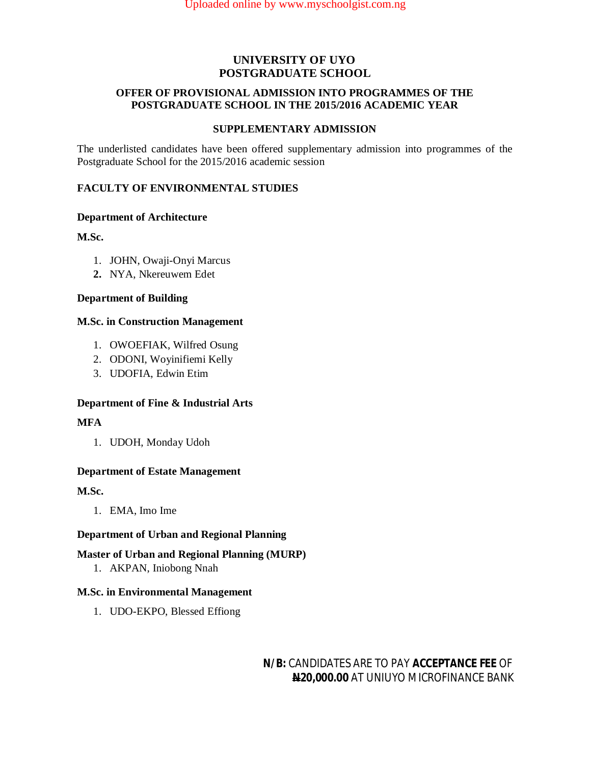#### **OFFER OF PROVISIONAL ADMISSION INTO PROGRAMMES OF THE POSTGRADUATE SCHOOL IN THE 2015/2016 ACADEMIC YEAR**

#### **SUPPLEMENTARY ADMISSION**

The underlisted candidates have been offered supplementary admission into programmes of the Postgraduate School for the 2015/2016 academic session

## **FACULTY OF ENVIRONMENTAL STUDIES**

## **Department of Architecture**

## **M.Sc.**

- 1. JOHN, Owaji-Onyi Marcus
- **2.** NYA, Nkereuwem Edet

#### **Department of Building**

#### **M.Sc. in Construction Management**

- 1. OWOEFIAK, Wilfred Osung
- 2. ODONI, Woyinifiemi Kelly
- 3. UDOFIA, Edwin Etim

## **Department of Fine & Industrial Arts**

#### **MFA**

1. UDOH, Monday Udoh

#### **Department of Estate Management**

## **M.Sc.**

1. EMA, Imo Ime

## **Department of Urban and Regional Planning**

## **Master of Urban and Regional Planning (MURP)**

1. AKPAN, Iniobong Nnah

#### **M.Sc. in Environmental Management**

1. UDO-EKPO, Blessed Effiong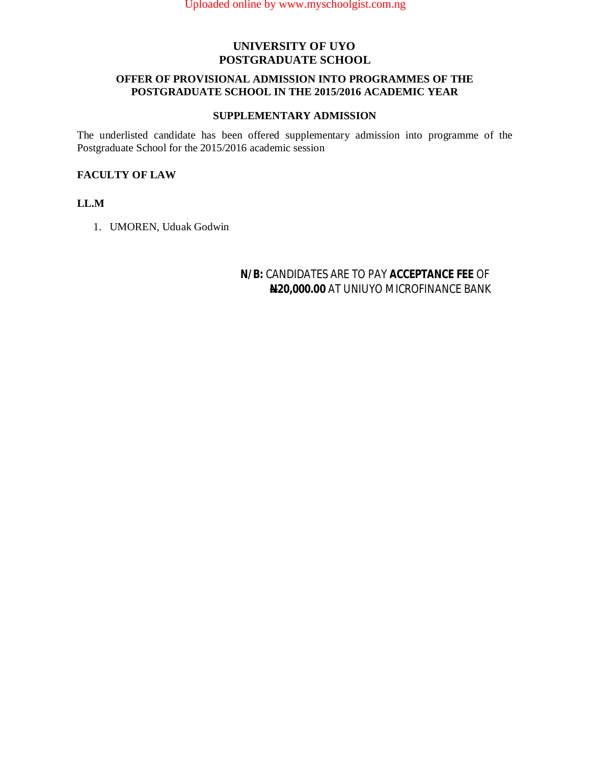#### **OFFER OF PROVISIONAL ADMISSION INTO PROGRAMMES OF THE POSTGRADUATE SCHOOL IN THE 2015/2016 ACADEMIC YEAR**

#### **SUPPLEMENTARY ADMISSION**

The underlisted candidate has been offered supplementary admission into programme of the Postgraduate School for the 2015/2016 academic session

#### **FACULTY OF LAW**

#### **LL.M**

1. UMOREN, Uduak Godwin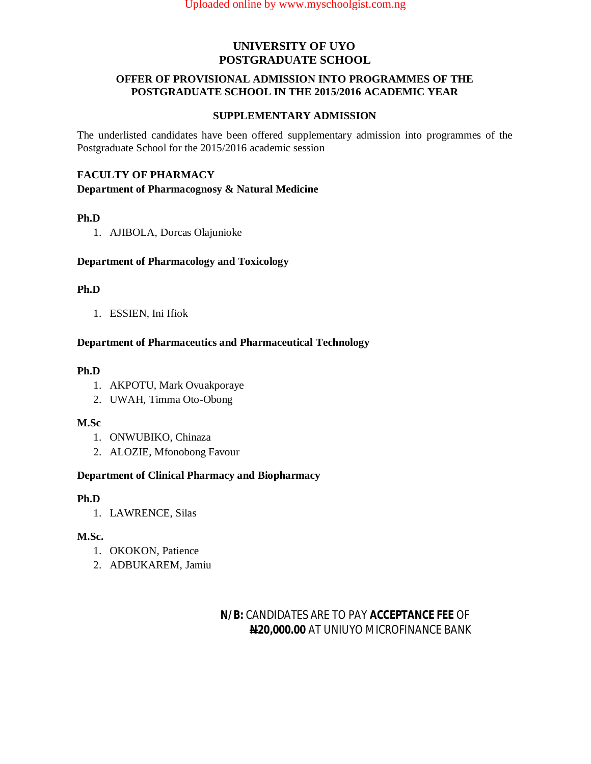#### **OFFER OF PROVISIONAL ADMISSION INTO PROGRAMMES OF THE POSTGRADUATE SCHOOL IN THE 2015/2016 ACADEMIC YEAR**

#### **SUPPLEMENTARY ADMISSION**

The underlisted candidates have been offered supplementary admission into programmes of the Postgraduate School for the 2015/2016 academic session

## **FACULTY OF PHARMACY**

**Department of Pharmacognosy & Natural Medicine** 

#### **Ph.D**

1. AJIBOLA, Dorcas Olajunioke

#### **Department of Pharmacology and Toxicology**

#### **Ph.D**

1. ESSIEN, Ini Ifiok

#### **Department of Pharmaceutics and Pharmaceutical Technology**

#### **Ph.D**

- 1. AKPOTU, Mark Ovuakporaye
- 2. UWAH, Timma Oto-Obong

#### **M.Sc**

- 1. ONWUBIKO, Chinaza
- 2. ALOZIE, Mfonobong Favour

#### **Department of Clinical Pharmacy and Biopharmacy**

#### **Ph.D**

1. LAWRENCE, Silas

## **M.Sc.**

- 1. OKOKON, Patience
- 2. ADBUKAREM, Jamiu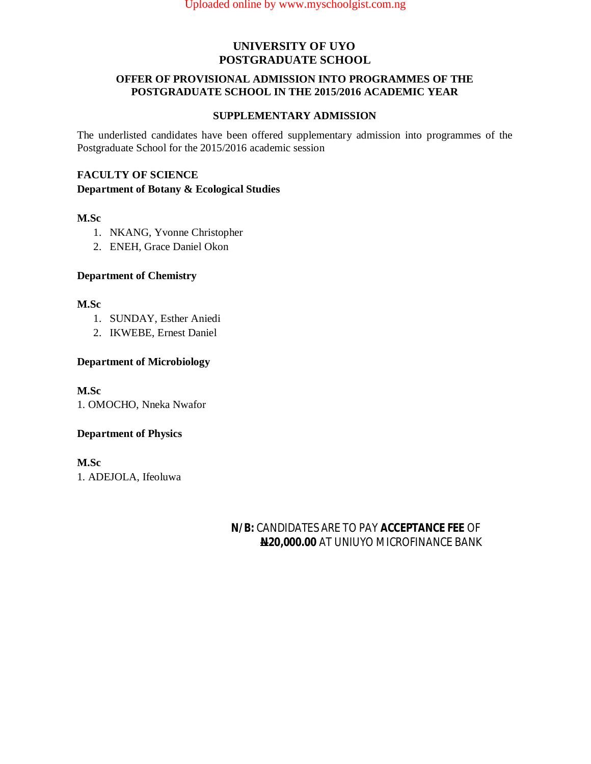#### **OFFER OF PROVISIONAL ADMISSION INTO PROGRAMMES OF THE POSTGRADUATE SCHOOL IN THE 2015/2016 ACADEMIC YEAR**

#### **SUPPLEMENTARY ADMISSION**

The underlisted candidates have been offered supplementary admission into programmes of the Postgraduate School for the 2015/2016 academic session

## **FACULTY OF SCIENCE**

#### **Department of Botany & Ecological Studies**

## **M.Sc**

- 1. NKANG, Yvonne Christopher
- 2. ENEH, Grace Daniel Okon

## **Department of Chemistry**

#### **M.Sc**

- 1. SUNDAY, Esther Aniedi
- 2. IKWEBE, Ernest Daniel

## **Department of Microbiology**

**M.Sc**  1. OMOCHO, Nneka Nwafor

## **Department of Physics**

**M.Sc** 1. ADEJOLA, Ifeoluwa